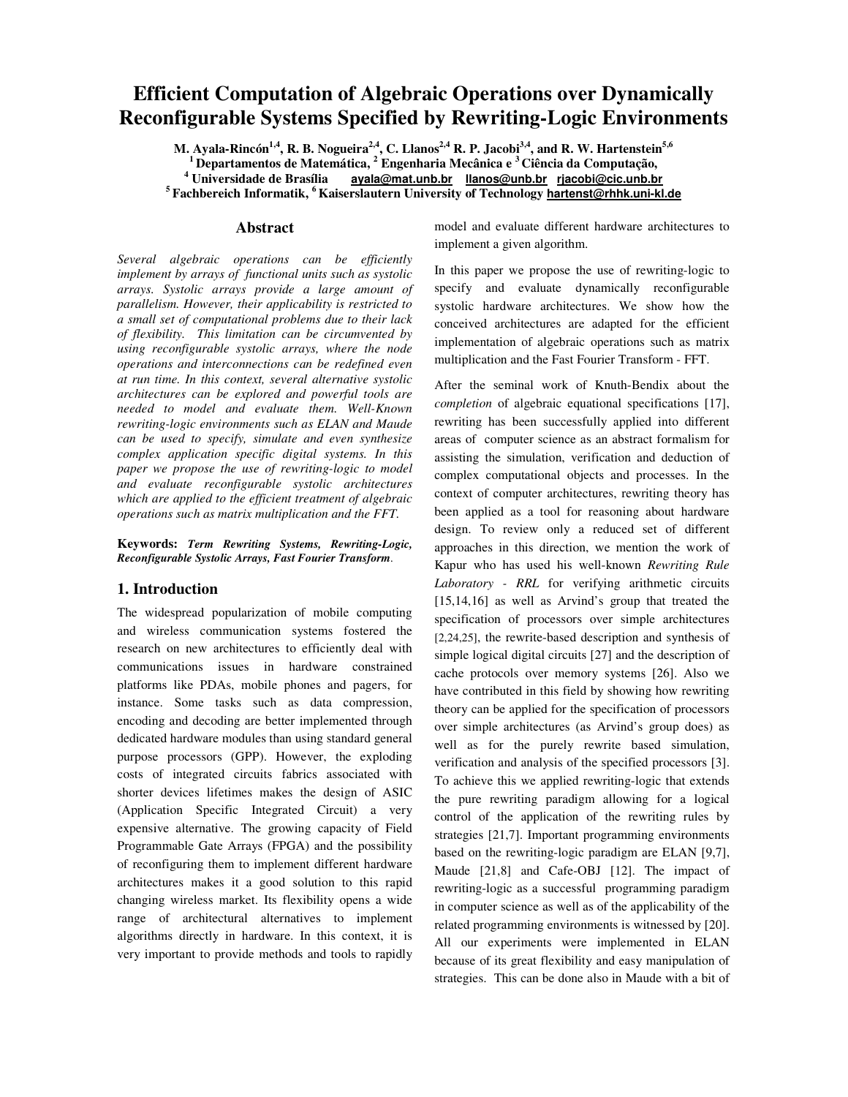# **Efficient Computation of Algebraic Operations over Dynamically Reconfigurable Systems Specified by Rewriting-Logic Environments**

M. Ayala-Rincón $^{1,4}$ , R. B. Nogueira $^{2,4}$ , C. Llanos $^{2,4}$  R. P. Jacobi $^{3,4}$ , and R. W. Hartenstein $^{5,6}$  **Departamentos de Matemática, <sup>2</sup> Engenharia Mecânica e <sup>3</sup> Ciência da Computação, Universidade de Brasília ayala@mat.unb.br llanos@unb.br rjacobi@cic.unb.br Fachbereich Informatik, <sup>6</sup> Kaiserslautern University of Technology hartenst@rhhk.uni-kl.de**

### **Abstract**

*Several algebraic operations can be efficiently implement by arrays of functional units such as systolic arrays. Systolic arrays provide a large amount of parallelism. However, their applicability is restricted to a small set of computational problems due to their lack of flexibility. This limitation can be circumvented by using reconfigurable systolic arrays, where the node operations and interconnections can be redefined even at run time. In this context, several alternative systolic architectures can be explored and powerful tools are needed to model and evaluate them. Well-Known rewriting-logic environments such as ELAN and Maude can be used to specify, simulate and even synthesize complex application specific digital systems. In this paper we propose the use of rewriting-logic to model and evaluate reconfigurable systolic architectures which are applied to the efficient treatment of algebraic operations such as matrix multiplication and the FFT.*

**Keywords:** *Term Rewriting Systems, Rewriting-Logic, Reconfigurable Systolic Arrays, Fast Fourier Transform.*

#### **1. Introduction**

The widespread popularization of mobile computing and wireless communication systems fostered the research on new architectures to efficiently deal with communications issues in hardware constrained platforms like PDAs, mobile phones and pagers, for instance. Some tasks such as data compression, encoding and decoding are better implemented through dedicated hardware modules than using standard general purpose processors (GPP). However, the exploding costs of integrated circuits fabrics associated with shorter devices lifetimes makes the design of ASIC (Application Specific Integrated Circuit) a very expensive alternative. The growing capacity of Field Programmable Gate Arrays (FPGA) and the possibility of reconfiguring them to implement different hardware architectures makes it a good solution to this rapid changing wireless market. Its flexibility opens a wide range of architectural alternatives to implement algorithms directly in hardware. In this context, it is very important to provide methods and tools to rapidly

model and evaluate different hardware architectures to implement a given algorithm.

In this paper we propose the use of rewriting-logic to specify and evaluate dynamically reconfigurable systolic hardware architectures. We show how the conceived architectures are adapted for the efficient implementation of algebraic operations such as matrix multiplication and the Fast Fourier Transform - FFT.

After the seminal work of Knuth-Bendix about the *completion* of algebraic equational specifications [17], rewriting has been successfully applied into different areas of computer science as an abstract formalism for assisting the simulation, verification and deduction of complex computational objects and processes. In the context of computer architectures, rewriting theory has been applied as a tool for reasoning about hardware design. To review only a reduced set of different approaches in this direction, we mention the work of Kapur who has used his well-known *Rewriting Rule Laboratory - RRL* for verifying arithmetic circuits [15,14,16] as well as Arvind's group that treated the specification of processors over simple architectures [2,24,25], the rewrite-based description and synthesis of simple logical digital circuits [27] and the description of cache protocols over memory systems [26]. Also we have contributed in this field by showing how rewriting theory can be applied for the specification of processors over simple architectures (as Arvind's group does) as well as for the purely rewrite based simulation, verification and analysis of the specified processors [3]. To achieve this we applied rewriting-logic that extends the pure rewriting paradigm allowing for a logical control of the application of the rewriting rules by strategies [21,7]. Important programming environments based on the rewriting-logic paradigm are ELAN [9,7], Maude [21,8] and Cafe-OBJ [12]. The impact of rewriting-logic as a successful programming paradigm in computer science as well as of the applicability of the related programming environments is witnessed by [20]. All our experiments were implemented in ELAN because of its great flexibility and easy manipulation of strategies. This can be done also in Maude with a bit of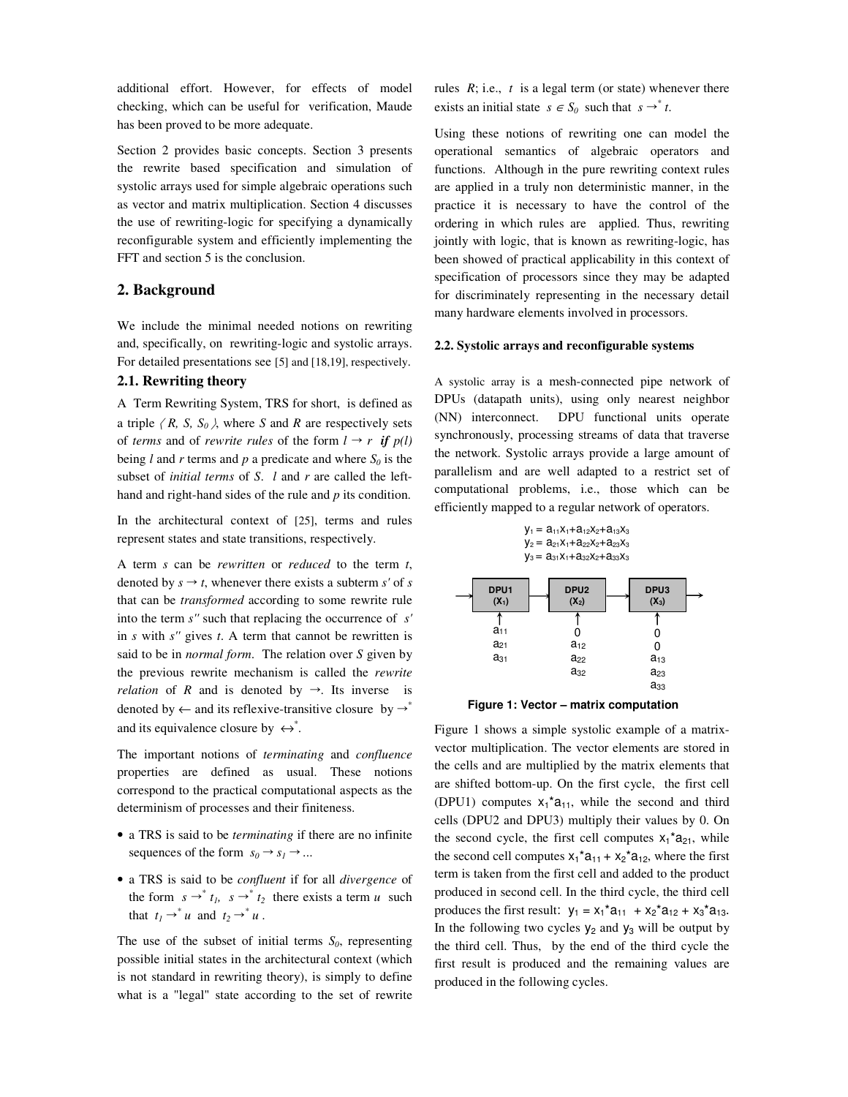additional effort. However, for effects of model checking, which can be useful for verification, Maude has been proved to be more adequate.

Section 2 provides basic concepts. Section 3 presents the rewrite based specification and simulation of systolic arrays used for simple algebraic operations such as vector and matrix multiplication. Section 4 discusses the use of rewriting-logic for specifying a dynamically reconfigurable system and efficiently implementing the FFT and section 5 is the conclusion.

# **2. Background**

We include the minimal needed notions on rewriting and, specifically, on rewriting-logic and systolic arrays. For detailed presentations see [5] and [18,19], respectively.

# **2.1. Rewriting theory**

A Term Rewriting System, TRS for short, is defined as a triple  $(R, S, S_0)$ , where *S* and *R* are respectively sets of *terms* and of *rewrite rules* of the form  $l \rightarrow r$  *if*  $p(l)$ being *l* and *r* terms and *p* a predicate and where  $S_0$  is the subset of *initial terms* of *S*. *l* and *r* are called the lefthand and right-hand sides of the rule and *p* its condition.

In the architectural context of [25], terms and rules represent states and state transitions, respectively.

A term *s* can be *rewritten* or *reduced* to the term *t*, denoted by  $s \rightarrow t$ , whenever there exists a subterm *s'* of *s* that can be *transformed* according to some rewrite rule into the term *s''* such that replacing the occurrence of *s'* in *s* with *s''* gives *t*. A term that cannot be rewritten is said to be in *normal form*. The relation over *S* given by the previous rewrite mechanism is called the *rewrite relation* of *R* and is denoted by  $\rightarrow$ . Its inverse is denoted by  $\leftarrow$  and its reflexive-transitive closure by  $\rightarrow^*$ and its equivalence closure by  $\leftrightarrow^*$ .

The important notions of *terminating* and *confluence* properties are defined as usual. These notions correspond to the practical computational aspects as the determinism of processes and their finiteness.

- a TRS is said to be *terminating* if there are no infinite sequences of the form  $s_0 \rightarrow s_1 \rightarrow \dots$
- a TRS is said to be *confluent* if for all *divergence* of the form  $s \rightarrow^{*} t_1$ ,  $s \rightarrow^{*} t_2$  there exists a term *u* such that  $t_1 \rightarrow u$  and  $t_2 \rightarrow u$ .

The use of the subset of initial terms  $S_0$ , representing possible initial states in the architectural context (which is not standard in rewriting theory), is simply to define what is a "legal" state according to the set of rewrite rules *R*; i.e., *t* is a legal term (or state) whenever there exists an initial state  $s \in S_0$  such that  $s \rightarrow^* t$ .

Using these notions of rewriting one can model the operational semantics of algebraic operators and functions. Although in the pure rewriting context rules are applied in a truly non deterministic manner, in the practice it is necessary to have the control of the ordering in which rules are applied. Thus, rewriting jointly with logic, that is known as rewriting-logic, has been showed of practical applicability in this context of specification of processors since they may be adapted for discriminately representing in the necessary detail many hardware elements involved in processors.

#### **2.2. Systolic arrays and reconfigurable systems**

A systolic array is a mesh-connected pipe network of DPUs (datapath units), using only nearest neighbor (NN) interconnect. DPU functional units operate synchronously, processing streams of data that traverse the network. Systolic arrays provide a large amount of parallelism and are well adapted to a restrict set of computational problems, i.e., those which can be efficiently mapped to a regular network of operators.

| $y_1 = a_{11}x_1 + a_{12}x_2 + a_{13}x_3$ |  |
|-------------------------------------------|--|
| $y_2 = a_{21}x_1 + a_{22}x_2 + a_{23}x_3$ |  |
| $y_3 = a_{31}x_1 + a_{32}x_2 + a_{33}x_3$ |  |

| DPU1<br>$(X_1)$ | DPU <sub>2</sub><br>$(X_2)$ | DPU3<br>$(X_3)$ |  |
|-----------------|-----------------------------|-----------------|--|
|                 |                             |                 |  |
| $a_{11}$        |                             |                 |  |
| $a_{21}$        | $a_{12}$                    | 0               |  |
| $a_{31}$        | $a_{22}$<br>$a_{32}$        | $a_{13}$        |  |
|                 |                             | $a_{23}$        |  |
|                 |                             | $a_{33}$        |  |
|                 |                             |                 |  |



Figure 1 shows a simple systolic example of a matrixvector multiplication. The vector elements are stored in the cells and are multiplied by the matrix elements that are shifted bottom-up. On the first cycle, the first cell (DPU1) computes  $x_1^*a_{11}$ , while the second and third cells (DPU2 and DPU3) multiply their values by 0. On the second cycle, the first cell computes  $x_1^*a_{21}$ , while the second cell computes  $x_1^*a_{11} + x_2^*a_{12}$ , where the first term is taken from the first cell and added to the product produced in second cell. In the third cycle, the third cell produces the first result:  $y_1 = x_1^* a_{11} + x_2^* a_{12} + x_3^* a_{13}$ . In the following two cycles  $y_2$  and  $y_3$  will be output by the third cell. Thus, by the end of the third cycle the first result is produced and the remaining values are produced in the following cycles.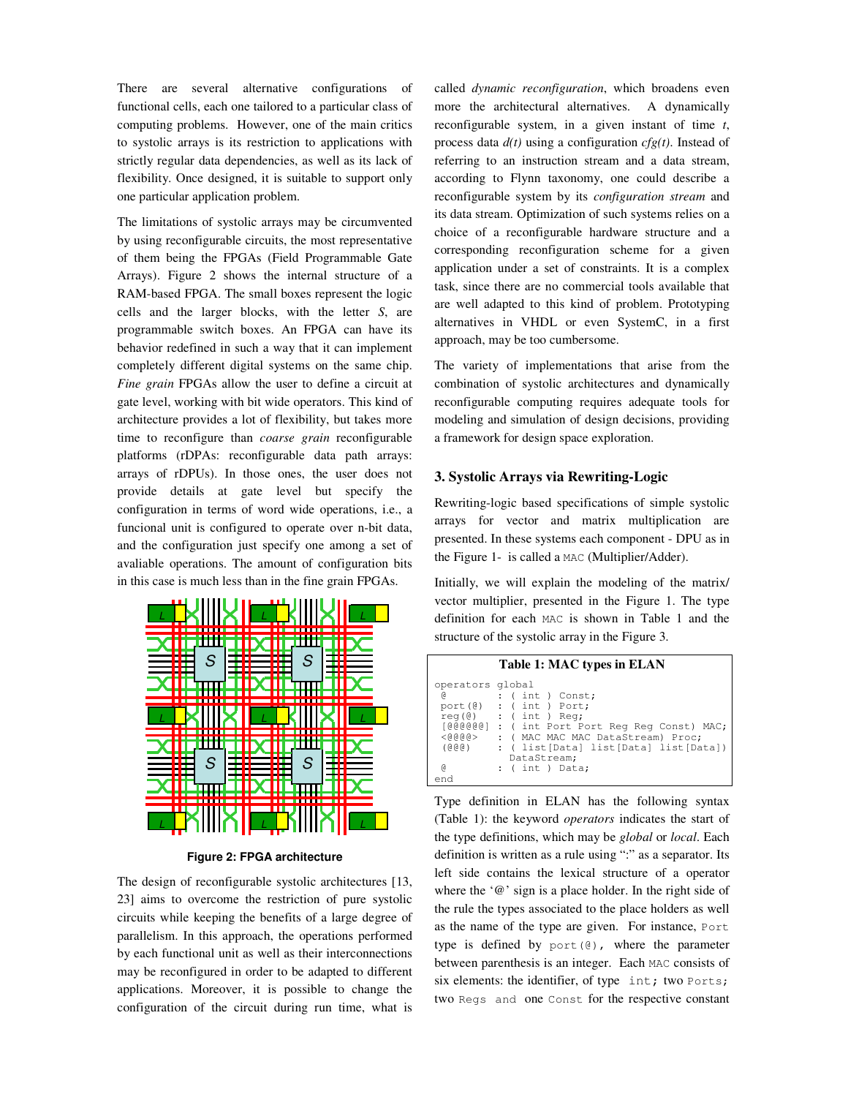There are several alternative configurations of functional cells, each one tailored to a particular class of computing problems. However, one of the main critics to systolic arrays is its restriction to applications with strictly regular data dependencies, as well as its lack of flexibility. Once designed, it is suitable to support only one particular application problem.

The limitations of systolic arrays may be circumvented by using reconfigurable circuits, the most representative of them being the FPGAs (Field Programmable Gate Arrays). Figure 2 shows the internal structure of a RAM-based FPGA. The small boxes represent the logic cells and the larger blocks, with the letter *S*, are programmable switch boxes. An FPGA can have its behavior redefined in such a way that it can implement completely different digital systems on the same chip. *Fine grain* FPGAs allow the user to define a circuit at gate level, working with bit wide operators. This kind of architecture provides a lot of flexibility, but takes more time to reconfigure than *coarse grain* reconfigurable platforms (rDPAs: reconfigurable data path arrays: arrays of rDPUs). In those ones, the user does not provide details at gate level but specify the configuration in terms of word wide operations, i.e., a funcional unit is configured to operate over n-bit data, and the configuration just specify one among a set of avaliable operations. The amount of configuration bits in this case is much less than in the fine grain FPGAs.



**Figure 2: FPGA architecture**

The design of reconfigurable systolic architectures [13, 23] aims to overcome the restriction of pure systolic circuits while keeping the benefits of a large degree of parallelism. In this approach, the operations performed by each functional unit as well as their interconnections may be reconfigured in order to be adapted to different applications. Moreover, it is possible to change the configuration of the circuit during run time, what is

called *dynamic reconfiguration*, which broadens even more the architectural alternatives. A dynamically reconfigurable system, in a given instant of time *t*, process data *d(t)* using a configuration *cfg(t)*. Instead of referring to an instruction stream and a data stream, according to Flynn taxonomy, one could describe a reconfigurable system by its *configuration stream* and its data stream. Optimization of such systems relies on a choice of a reconfigurable hardware structure and a corresponding reconfiguration scheme for a given application under a set of constraints. It is a complex task, since there are no commercial tools available that are well adapted to this kind of problem. Prototyping alternatives in VHDL or even SystemC, in a first approach, may be too cumbersome.

The variety of implementations that arise from the combination of systolic architectures and dynamically reconfigurable computing requires adequate tools for modeling and simulation of design decisions, providing a framework for design space exploration.

### **3. Systolic Arrays via Rewriting-Logic**

Rewriting-logic based specifications of simple systolic arrays for vector and matrix multiplication are presented. In these systems each component - DPU as in the Figure 1- is called a MAC (Multiplier/Adder).

Initially, we will explain the modeling of the matrix/ vector multiplier, presented in the Figure 1. The type definition for each MAC is shown in Table 1 and the structure of the systolic array in the Figure 3.

| Table 1: MAC types in ELAN                                                                                                                                                                                                                                                               |  |
|------------------------------------------------------------------------------------------------------------------------------------------------------------------------------------------------------------------------------------------------------------------------------------------|--|
| operators global<br>$:$ (int) Const;<br>G)<br>$port(\theta)$ : (int) Port;<br>$req(\theta)$ : (int) Req;<br>[@@@@@@] : ( int Port Port Req Req Const) MAC;<br>$<$ (0, 0, 0, 0, $>$<br>: ( MAC MAC MAC DataStream) Proc;<br>: ( list[Data] list[Data] list[Data])<br>(@@@)<br>DataStream; |  |
| <sub>(g</sub><br>$:$ (int) Data;<br>end                                                                                                                                                                                                                                                  |  |

Type definition in ELAN has the following syntax (Table 1): the keyword *operators* indicates the start of the type definitions, which may be *global* or *local*. Each definition is written as a rule using ":" as a separator. Its left side contains the lexical structure of a operator where the '@' sign is a place holder. In the right side of the rule the types associated to the place holders as well as the name of the type are given. For instance, Port type is defined by port(@), where the parameter between parenthesis is an integer. Each MAC consists of six elements: the identifier, of type int; two Ports; two Regs and one Const for the respective constant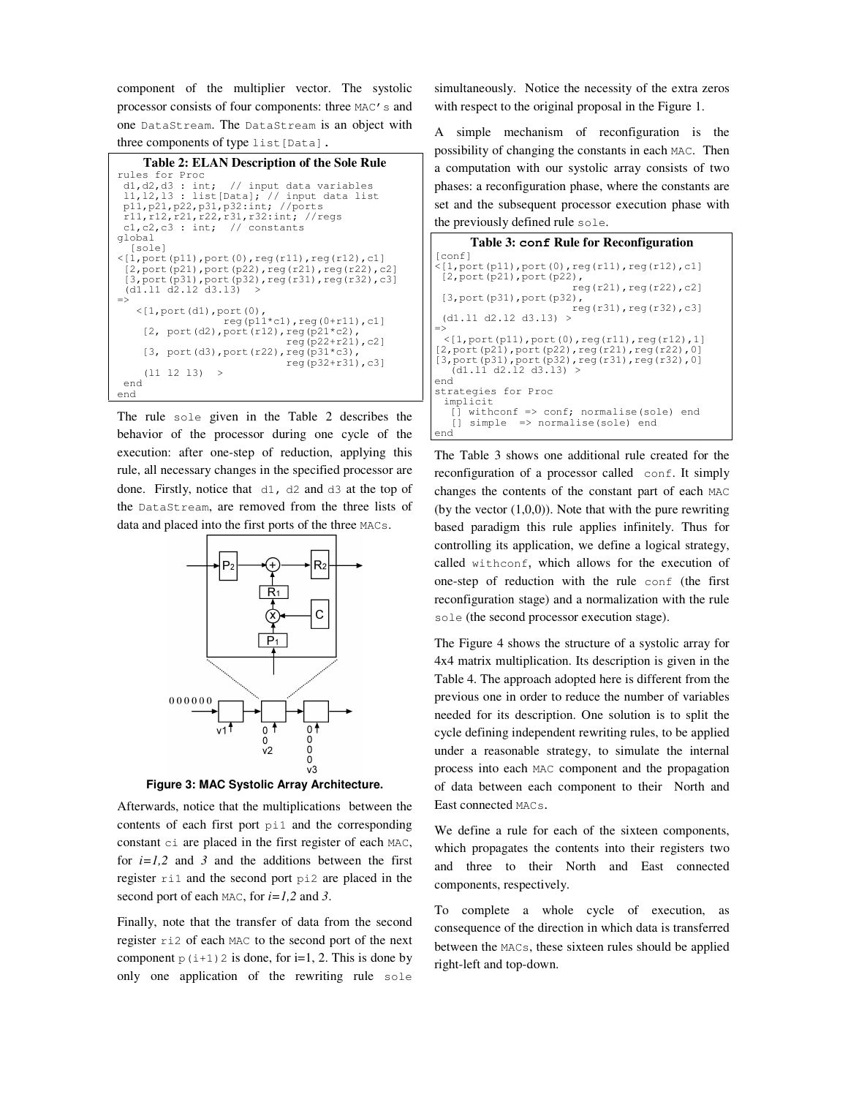component of the multiplier vector. The systolic processor consists of four components: three MAC's and one DataStream. The DataStream is an object with three components of type list [Data].

```
Table 2: ELAN Description of the Sole Rule
rules for Proc<br>d1,d2,d3 : int;
                    // input data variables
 l1,l2,l3 : list[Data]; // input data list
 p11,p21,p22,p31,p32:int; //ports
 r11,r12,r21,r22,r31,r32:int; //regs
 c1,c2,c3 : int; // constants
global
  [sole]
<[1,port(p11),port(0),reg(r11),reg(r12),c1]
  [2,port(p21),port(p22),reg(r21),reg(r22),c2]
 [3,port(p31),port(p32),reg(r31),reg(r32),c3]
 (d1.l1 d2.l2 d3.l3) >
=>
   \langle[1,port(d1),port(0),
                  reg(p11 * c1), reg(0 + r11), c1][2, port(d2), port(r12), reg(p21*c2),
                             reg(p22+r21),c2]
    [3, port(d3), port(r22), reg(p31*c3),
                             reg(p32+r31),c3]
    (11 12 13) >end
end
```
The rule sole given in the Table 2 describes the behavior of the processor during one cycle of the execution: after one-step of reduction, applying this rule, all necessary changes in the specified processor are done. Firstly, notice that d1, d2 and d3 at the top of the DataStream, are removed from the three lists of data and placed into the first ports of the three MACs.



**Figure 3: MAC Systolic Array Architecture.**

Afterwards, notice that the multiplications between the contents of each first port pi1 and the corresponding constant ci are placed in the first register of each MAC, for  $i=1,2$  and 3 and the additions between the first register ri1 and the second port pi2 are placed in the second port of each MAC, for *i=1,2* and *3*.

Finally, note that the transfer of data from the second register ri2 of each MAC to the second port of the next component  $p(i+1)$  2 is done, for i=1, 2. This is done by only one application of the rewriting rule sole

simultaneously. Notice the necessity of the extra zeros with respect to the original proposal in the Figure 1.

A simple mechanism of reconfiguration is the possibility of changing the constants in each MAC. Then a computation with our systolic array consists of two phases: a reconfiguration phase, where the constants are set and the subsequent processor execution phase with the previously defined rule sole.

```
Table 3: conf Rule for Reconfiguration
[conf]
 [1, port(p11), port(0), reg(r11), reg(r12), c1]<br>[2, port(p21), port(p22),
 [2,port(p21),port(p22),
reg(r21),reg(r22),c2]
[3,port(p31),port(p32),
                          reg(r31), reg(r32), c3]
 (d1.l1 d2.l2 d3.l3) >
=>
 <[1,port(p11),port(0),reg(r11),reg(r12),1]
[2,port(p21),port(p22),reg(r21),reg(r22),0]
[3, port(p31), port(p32), reg(r31), reg(r32), 0]
   (d1.l1 d2.l2 d3.l3) >
end
strategies for Proc
 implicit
   [\] withconf => conf; normalise(sole) end
      simple => normalise(sole) end
end
```
The Table 3 shows one additional rule created for the reconfiguration of a processor called conf. It simply changes the contents of the constant part of each MAC (by the vector  $(1,0,0)$ ). Note that with the pure rewriting based paradigm this rule applies infinitely. Thus for controlling its application, we define a logical strategy, called withconf, which allows for the execution of one-step of reduction with the rule conf (the first reconfiguration stage) and a normalization with the rule sole (the second processor execution stage).

The Figure 4 shows the structure of a systolic array for 4x4 matrix multiplication. Its description is given in the Table 4. The approach adopted here is different from the previous one in order to reduce the number of variables needed for its description. One solution is to split the cycle defining independent rewriting rules, to be applied under a reasonable strategy, to simulate the internal process into each MAC component and the propagation of data between each component to their North and East connected MACs.

We define a rule for each of the sixteen components, which propagates the contents into their registers two and three to their North and East connected components, respectively.

To complete a whole cycle of execution, as consequence of the direction in which data is transferred between the MACs, these sixteen rules should be applied right-left and top-down.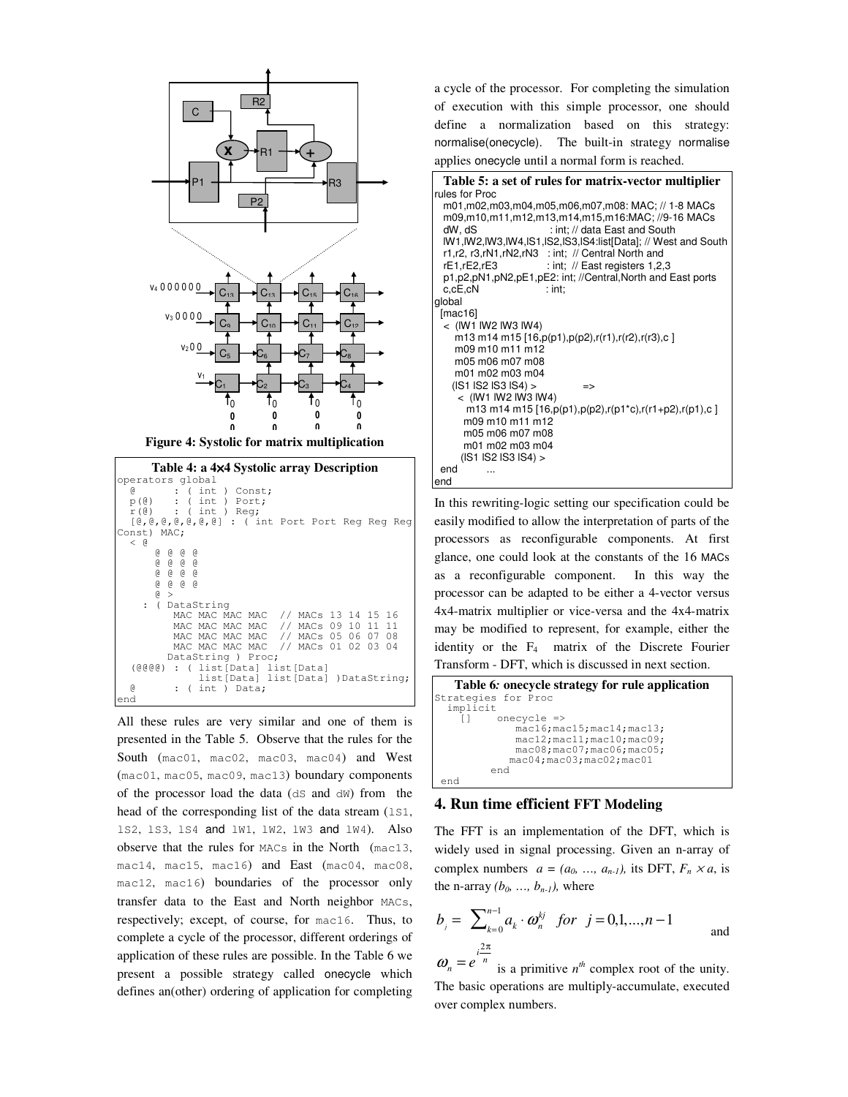

**Figure 4: Systolic for matrix multiplication**

| Table 4: a 4×4 Systolic array Description                                                                                                                                                                                                                                                                                                                         |
|-------------------------------------------------------------------------------------------------------------------------------------------------------------------------------------------------------------------------------------------------------------------------------------------------------------------------------------------------------------------|
| operators global                                                                                                                                                                                                                                                                                                                                                  |
| : ( int ) Const;<br>g.                                                                                                                                                                                                                                                                                                                                            |
| $p(\theta)$ : (int) Port;                                                                                                                                                                                                                                                                                                                                         |
| $r(\theta)$ : (int) Req;                                                                                                                                                                                                                                                                                                                                          |
| [@, @, @, @, @, @] : ( int Port Port Reg Reg Reg                                                                                                                                                                                                                                                                                                                  |
| Const) MAC;                                                                                                                                                                                                                                                                                                                                                       |
| $\leq$ $\alpha$                                                                                                                                                                                                                                                                                                                                                   |
|                                                                                                                                                                                                                                                                                                                                                                   |
| $\begin{array}{cccccccccccccc} @& @& @& @& @& \ @& @& @& @& @& \ @& @& @& @& @& \ @V{\bf 0} & @& @& @& @& \ @V{\bf 0} & @& @& @& @& \ @V{\bf 0} & @& @& @& @& \ @V{\bf 0} & @& @& @& @& @& \ @V{\bf 0} & @& @& @& @& \ @V{\bf 0} & @& @& @& @& \ @V{\bf 0} & @& @& @& @& \ @V{\bf 0} & @& @& @& @& \ @V{\bf 0} & @& @& @& @& \ @V{\bf 0} & @& @& @& @& \ @V{\bf $ |
| @ @ @ @ @                                                                                                                                                                                                                                                                                                                                                         |
| 0 0 0 0                                                                                                                                                                                                                                                                                                                                                           |
| G)<br>$\geq$                                                                                                                                                                                                                                                                                                                                                      |
| : ( DataString                                                                                                                                                                                                                                                                                                                                                    |
| MAC MAC MAC MAC // MACs 13 14 15 16                                                                                                                                                                                                                                                                                                                               |
| MAC MAC MAC MAC // MACs 09 10<br>11<br>11                                                                                                                                                                                                                                                                                                                         |
| MAC MAC MAC MAC // MACs 05 06 07 08                                                                                                                                                                                                                                                                                                                               |
| MAC MAC MAC MAC // MACs 01 02<br>$0.3 \quad 0.4$                                                                                                                                                                                                                                                                                                                  |
|                                                                                                                                                                                                                                                                                                                                                                   |
| DataString ) Proc;                                                                                                                                                                                                                                                                                                                                                |
| $(\theta \theta \theta)$ : ( list [Data] list [Data]                                                                                                                                                                                                                                                                                                              |
| list [Data] list [Data] ) DataString;                                                                                                                                                                                                                                                                                                                             |
| G)<br>$:$ ( int ) Data;                                                                                                                                                                                                                                                                                                                                           |
| end                                                                                                                                                                                                                                                                                                                                                               |

All these rules are very similar and one of them is presented in the Table 5. Observe that the rules for the South (mac01, mac02, mac03, mac04) and West (mac01, mac05, mac09, mac13) boundary components of the processor load the data (dS and dW) from the head of the corresponding list of the data stream (151, lS2, lS3, lS4 and lW1, lW2, lW3 and lW4). Also observe that the rules for MACs in the North (mac13, mac14, mac15, mac16) and East (mac04, mac08, mac12, mac16) boundaries of the processor only transfer data to the East and North neighbor MACs, respectively; except, of course, for mac16. Thus, to complete a cycle of the processor, different orderings of application of these rules are possible. In the Table 6 we present a possible strategy called onecycle which defines an(other) ordering of application for completing

a cycle of the processor. For completing the simulation of execution with this simple processor, one should define a normalization based on this strategy: normalise(onecycle). The built-in strategy normalise applies onecycle until a normal form is reached.

| Table 5: a set of rules for matrix-vector multiplier                                                                                                                                                                                                                                                                                                                                                                              |
|-----------------------------------------------------------------------------------------------------------------------------------------------------------------------------------------------------------------------------------------------------------------------------------------------------------------------------------------------------------------------------------------------------------------------------------|
| rules for Proc                                                                                                                                                                                                                                                                                                                                                                                                                    |
| m01,m02,m03,m04,m05,m06,m07,m08: MAC; // 1-8 MACs<br>m09,m10,m11,m12,m13,m14,m15,m16:MAC; //9-16 MACs<br>: int: // data East and South<br>dW, dS<br>IW1, IW2, IW3, IW4, IS1, IS2, IS3, IS4: list [Data]; // West and South<br>r1,r2, r3,rN1,rN2,rN3 : int; // Central North and<br>: int; $\#$ East registers 1,2,3<br>rE1.rE2.rE3<br>p1,p2,pN1,pN2,pE1,pE2: int; //Central,North and East ports<br>$c$ , $cE$ , $cN$<br>$:$ int: |
| global                                                                                                                                                                                                                                                                                                                                                                                                                            |
| [mac16]                                                                                                                                                                                                                                                                                                                                                                                                                           |
| $<$ (IW1 IW2 IW3 IW4)                                                                                                                                                                                                                                                                                                                                                                                                             |
| m13 m14 m15 [16,p(p1),p(p2),r(r1),r(r2),r(r3),c ]                                                                                                                                                                                                                                                                                                                                                                                 |
| m09 m10 m11 m12                                                                                                                                                                                                                                                                                                                                                                                                                   |
| m05 m06 m07 m08                                                                                                                                                                                                                                                                                                                                                                                                                   |
| m01 m02 m03 m04                                                                                                                                                                                                                                                                                                                                                                                                                   |
| $($ IS1 IS2 IS3 IS4) ><br>=>                                                                                                                                                                                                                                                                                                                                                                                                      |
| $<$ (IW1 IW2 IW3 IW4)                                                                                                                                                                                                                                                                                                                                                                                                             |
| m13 m14 m15 [16,p(p1),p(p2),r(p1*c),r(r1+p2),r(p1),c ]                                                                                                                                                                                                                                                                                                                                                                            |
| m09 m10 m11 m12                                                                                                                                                                                                                                                                                                                                                                                                                   |
| m05 m06 m07 m08                                                                                                                                                                                                                                                                                                                                                                                                                   |
| m01 m02 m03 m04                                                                                                                                                                                                                                                                                                                                                                                                                   |
| (IS1 IS2 IS3 IS4) >                                                                                                                                                                                                                                                                                                                                                                                                               |
| end                                                                                                                                                                                                                                                                                                                                                                                                                               |
| end                                                                                                                                                                                                                                                                                                                                                                                                                               |

In this rewriting-logic setting our specification could be easily modified to allow the interpretation of parts of the processors as reconfigurable components. At first glance, one could look at the constants of the 16 MACs as a reconfigurable component. In this way the processor can be adapted to be either a 4-vector versus 4x4-matrix multiplier or vice-versa and the 4x4-matrix may be modified to represent, for example, either the identity or the  $F_4$  matrix of the Discrete Fourier Transform - DFT, which is discussed in next section.

```
Table 6: onecycle strategy for rule application
Strategies for Proc
 implicit
    [] onecycle =>
             mac16;mac15;mac14;mac13;
             mac12;mac11;mac10;mac09;
             mac08;mac07;mac06;mac05;
            mac04;mac03;mac02;mac01
         end
end
```
# **4. Run time efficient FFT Modeling**

The FFT is an implementation of the DFT, which is widely used in signal processing. Given an n-array of complex numbers  $a = (a_0, ..., a_{n-1})$ , its DFT,  $F_n \times a$ , is the n-array  $(b_0, \ldots, b_{n-1})$ , where

$$
b_j = \sum_{k=0}^{n-1} a_k \cdot \omega_n^{kj} \quad \text{for} \quad j = 0, 1, ..., n-1 \quad \text{and}
$$

 $\omega_n = e$ is a primitive  $n^{th}$  complex root of the unity. The basic operations are multiply-accumulate, executed over complex numbers.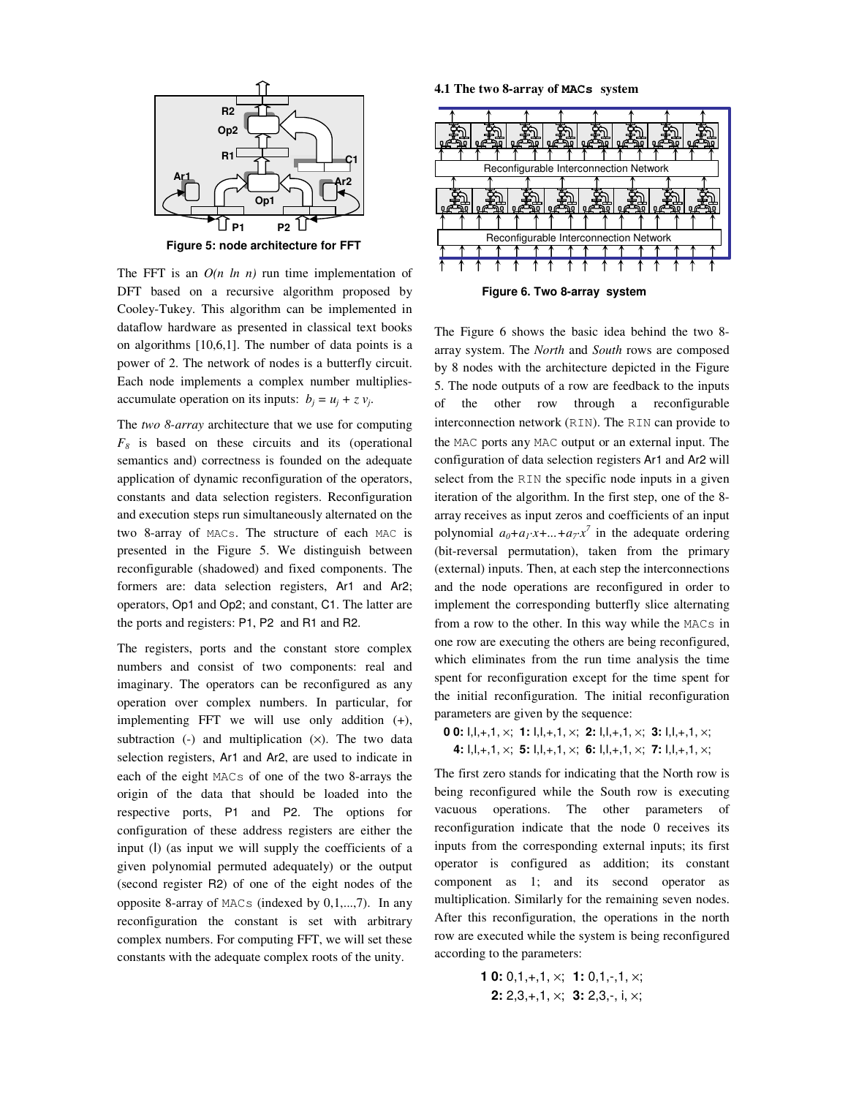

**Figure 5: node architecture for FFT**

The FFT is an  $O(n \ln n)$  run time implementation of DFT based on a recursive algorithm proposed by Cooley-Tukey. This algorithm can be implemented in dataflow hardware as presented in classical text books on algorithms [10,6,1]. The number of data points is a power of 2. The network of nodes is a butterfly circuit. Each node implements a complex number multipliesaccumulate operation on its inputs:  $b_j = u_j + z v_j$ .

The *two 8-array* architecture that we use for computing  $F_8$  is based on these circuits and its (operational semantics and) correctness is founded on the adequate application of dynamic reconfiguration of the operators, constants and data selection registers. Reconfiguration and execution steps run simultaneously alternated on the two 8-array of MACs. The structure of each MAC is presented in the Figure 5. We distinguish between reconfigurable (shadowed) and fixed components. The formers are: data selection registers, Ar1 and Ar2; operators, Op1 and Op2; and constant, C1. The latter are the ports and registers: P1, P2 and R1 and R2.

The registers, ports and the constant store complex numbers and consist of two components: real and imaginary. The operators can be reconfigured as any operation over complex numbers. In particular, for implementing FFT we will use only addition (+), subtraction  $(-)$  and multiplication  $(x)$ . The two data selection registers, Ar1 and Ar2, are used to indicate in each of the eight MACs of one of the two 8-arrays the origin of the data that should be loaded into the respective ports, P1 and P2. The options for configuration of these address registers are either the input (I) (as input we will supply the coefficients of a given polynomial permuted adequately) or the output (second register R2) of one of the eight nodes of the opposite 8-array of MACs (indexed by 0,1,...,7). In any reconfiguration the constant is set with arbitrary complex numbers. For computing FFT, we will set these constants with the adequate complex roots of the unity.

**4.1 The two 8-array of MACs system**



**Figure 6. Two 8-array system**

The Figure 6 shows the basic idea behind the two 8 array system. The *North* and *South* rows are composed by 8 nodes with the architecture depicted in the Figure 5. The node outputs of a row are feedback to the inputs of the other row through a reconfigurable interconnection network (RIN). The RIN can provide to the MAC ports any MAC output or an external input. The configuration of data selection registers Ar1 and Ar2 will select from the RIN the specific node inputs in a given iteration of the algorithm. In the first step, one of the 8 array receives as input zeros and coefficients of an input polynomial  $a_0 + a_1 \cdot x + ... + a_7 \cdot x^7$  in the adequate ordering (bit-reversal permutation), taken from the primary (external) inputs. Then, at each step the interconnections and the node operations are reconfigured in order to implement the corresponding butterfly slice alternating from a row to the other. In this way while the MACs in one row are executing the others are being reconfigured, which eliminates from the run time analysis the time spent for reconfiguration except for the time spent for the initial reconfiguration. The initial reconfiguration parameters are given by the sequence:

**0 0:** I,I,+,1, ×; **1:** I,I,+,1, ×; **2:** I,I,+,1, ×; **3:** I,I,+,1, ×; **4:** I,I,+,1, ×; **5:** I,I,+,1, ×; **6:** I,I,+,1, ×; **7:** I,I,+,1, ×;

The first zero stands for indicating that the North row is being reconfigured while the South row is executing vacuous operations. The other parameters of reconfiguration indicate that the node 0 receives its inputs from the corresponding external inputs; its first operator is configured as addition; its constant component as 1; and its second operator as multiplication. Similarly for the remaining seven nodes. After this reconfiguration, the operations in the north row are executed while the system is being reconfigured according to the parameters:

> **1 0:** 0,1,+,1, ×; **1:** 0,1,-,1, ×; **2:** 2,3,+,1, ×; **3:** 2,3,-, i, ×;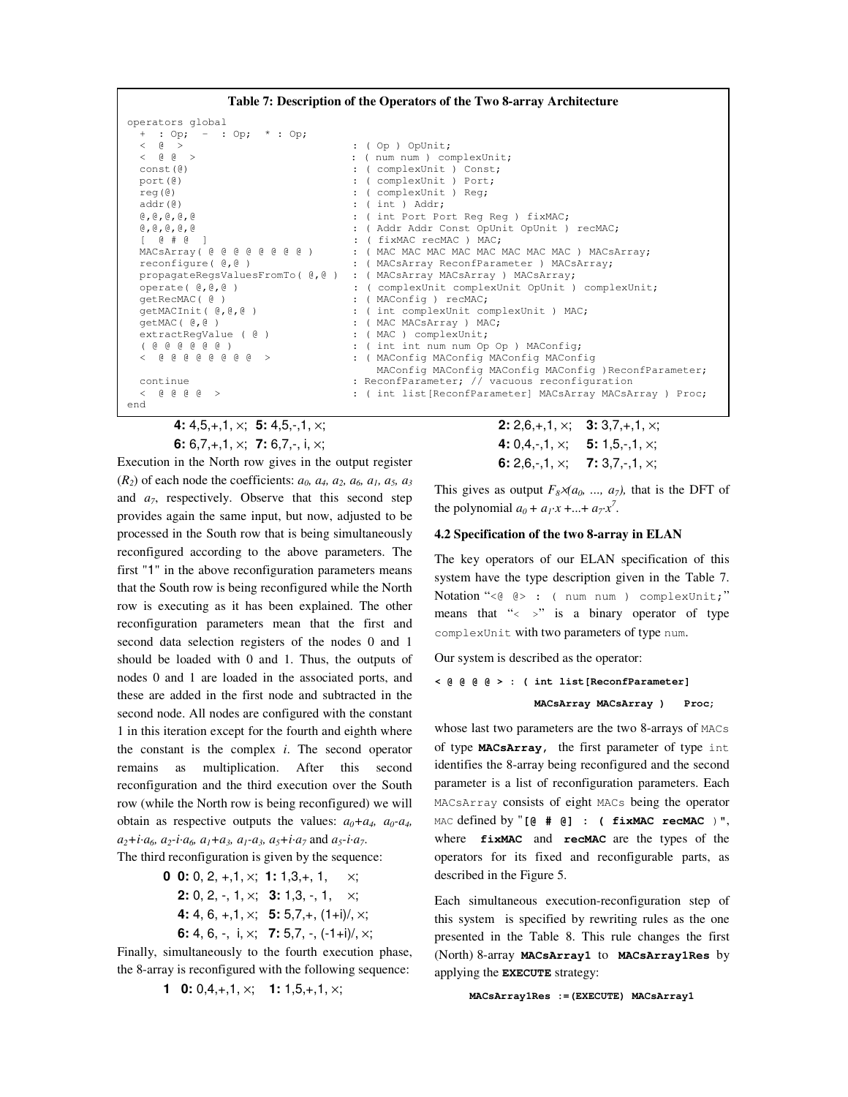

**4:** 4,5,+,1, ×; **5:** 4,5,-,1, ×; **6:** 6,7,+,1, ×; **7:** 6,7,-, i, ×;

Execution in the North row gives in the output register  $(R_2)$  of each node the coefficients:  $a_0$ ,  $a_4$ ,  $a_2$ ,  $a_6$ ,  $a_1$ ,  $a_5$ ,  $a_3$ and  $a_7$ , respectively. Observe that this second step provides again the same input, but now, adjusted to be processed in the South row that is being simultaneously reconfigured according to the above parameters. The first "1" in the above reconfiguration parameters means that the South row is being reconfigured while the North row is executing as it has been explained. The other reconfiguration parameters mean that the first and second data selection registers of the nodes 0 and 1 should be loaded with 0 and 1. Thus, the outputs of nodes 0 and 1 are loaded in the associated ports, and these are added in the first node and subtracted in the second node. All nodes are configured with the constant 1 in this iteration except for the fourth and eighth where the constant is the complex *i*. The second operator remains as multiplication. After this second reconfiguration and the third execution over the South row (while the North row is being reconfigured) we will obtain as respective outputs the values:  $a_0 + a_4$ ,  $a_0 - a_4$ ,  $a_2 + i \cdot a_6$ ,  $a_2 - i \cdot a_6$ ,  $a_1 + a_3$ ,  $a_1 - a_3$ ,  $a_5 + i \cdot a_7$  and  $a_5 - i \cdot a_7$ . The third reconfiguration is given by the sequence:

- **0 0:** 0, 2, +,1, ×; **1:** 1,3,+, 1, ×; **2:** 0, 2, -, 1, ×; **3:** 1,3, -, 1, ×; **4:** 4, 6, +,1, ×; **5:** 5,7,+, (1+i)/, ×;
	- **6:** 4, 6, -, i, ×; **7:** 5,7, -, (-1+i)/, ×;

Finally, simultaneously to the fourth execution phase, the 8-array is reconfigured with the following sequence:

**1 0:** 0,4,+,1, ×; **1:** 1,5,+,1, ×;

**2:** 2,6,+,1, ×; **3:** 3,7,+,1, ×; **4:** 0,4,-,1, ×; **5:** 1,5,-,1, ×; **6:** 2,6,-,1, ×; **7:** 3,7,-,1, ×;

This gives as output  $F_8 \rtimes (a_0, \ldots, a_7)$ , that is the DFT of the polynomial  $a_0 + a_1x + ... + a_7x^7$ .

### **4.2 Specification of the two 8-array in ELAN**

The key operators of our ELAN specification of this system have the type description given in the Table 7. Notation "<@ @> : ( num num ) complexUnit;" means that "< >" is a binary operator of type complexUnit with two parameters of type num.

Our system is described as the operator:

```
< @ @ @ @ > : ( int list[ReconfParameter]
               MACsArray MACsArray ) Proc;
```
whose last two parameters are the two 8-arrays of MACs of type **MACsArray,** the first parameter of type int identifies the 8-array being reconfigured and the second parameter is a list of reconfiguration parameters. Each MACsArray consists of eight MACs being the operator MAC defined by "**[@ # @] : ( fixMAC recMAC** )", where **fixMAC** and **recMAC** are the types of the operators for its fixed and reconfigurable parts, as described in the Figure 5.

Each simultaneous execution-reconfiguration step of this system is specified by rewriting rules as the one presented in the Table 8. This rule changes the first (North) 8-array **MACsArray1** to **MACsArray1Res** by applying the **EXECUTE** strategy:

```
MACsArray1Res :=(EXECUTE) MACsArray1
```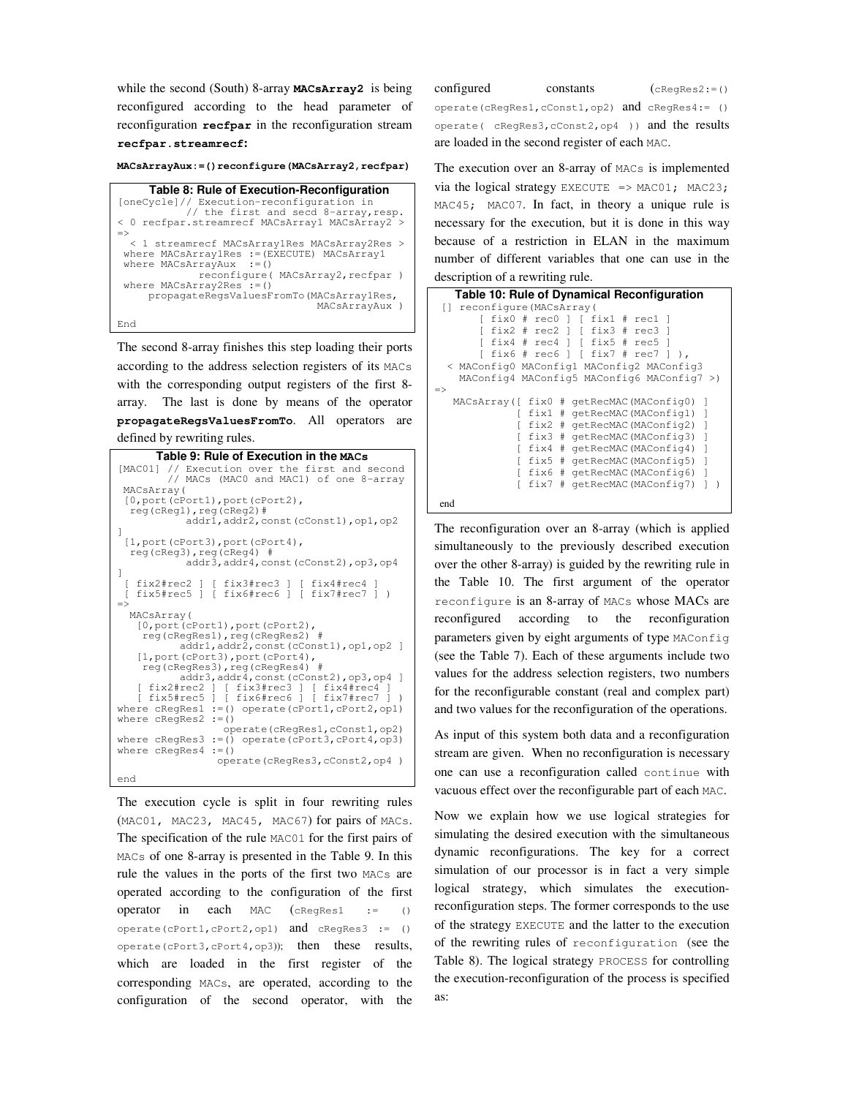while the second (South) 8-array **MACsArray2** is being reconfigured according to the head parameter of reconfiguration **recfpar** in the reconfiguration stream **recfpar.streamrecf:**

#### **MACsArrayAux:=()reconfigure(MACsArray2,recfpar)**

**Table 8: Rule of Execution-Reconfiguration** [oneCycle]// Execution-reconfiguration in // the first and secd 8-array,resp. < 0 recfpar.streamrecf MACsArray1 MACsArray2 > => < 1 streamrecf MACsArray1Res MACsArray2Res > where MACsArray1Res :=(EXECUTE) MACsArray1 where MACsArrayAux :=() reconfigure( MACsArray2, recfpar ) where MACsArray2Res :=() propagateRegsValuesFromTo(MACsArray1Res, MACsArrayAux ) End

The second 8-array finishes this step loading their ports according to the address selection registers of its MACs with the corresponding output registers of the first 8 array. The last is done by means of the operator **propagateRegsValuesFromTo**. All operators are defined by rewriting rules.

| Table 9: Rule of Execution in the MACs                                                            |
|---------------------------------------------------------------------------------------------------|
| [MAC01] // Execution over the first and second                                                    |
| // MACs (MACO and MAC1) of one 8-array                                                            |
| MACsArray (<br>$[0,$ port (cPort1), port (cPort2),                                                |
| $req(cReq1)$ , $req(cReq2)$ #                                                                     |
| addr1, addr2, const (cConst1), op1, op2                                                           |
| 1                                                                                                 |
| $[1,$ port (cPort3), port (cPort4),<br>$req(cReq3)$ , $req(cReq4)$ #                              |
| addr3, addr4, const (cConst2), op3, op4                                                           |
| 1                                                                                                 |
| [ fix2#rec2 ] [ fix3#rec3 ] [ fix4#rec4 ]<br>fix5#rec5 ] [ fix6#rec6 ] [ fix7#rec7 ] )            |
| $=$                                                                                               |
| MACsArray(                                                                                        |
| $[0,$ port (cPort1), port (cPort2),                                                               |
| req(cReqRes1), req(cReqRes2) #<br>addr1, addr2, const (cConst1), op1, op2 ]                       |
| [1, port(cPort3), port(cPort4),                                                                   |
| req(cReqRes3), req(cReqRes4) #                                                                    |
| addr3, addr4, const (cConst2), op3, op4 ]<br>[ fix2#rec2 ] [ fix3#rec3 ] [ fix4#rec4 ]            |
| [ fix5#rec5 ] [ fix6#rec6 ] [ fix7#rec7 ]<br>$\lambda$                                            |
| where $cReqs$ es1 := () operate $(cPort1, cPort2, op1)$                                           |
| where $cReqRes2 := ()$                                                                            |
| operate(cReqRes1, cConst1, op2)<br>where $cReqRes3 := ()$ operate( $cPort3$ , $cPort4$ , $op3)$ ) |
| where cRegRes4<br>$:=( )$                                                                         |
| operate(cRegRes3, cConst2, op4)                                                                   |
| end                                                                                               |

The execution cycle is split in four rewriting rules (MAC01, MAC23, MAC45, MAC67) for pairs of MACs. The specification of the rule MAC01 for the first pairs of MACs of one 8-array is presented in the Table 9. In this rule the values in the ports of the first two MACs are operated according to the configuration of the first operator in each MAC  $(c \text{Re} q \text{Re} s)$  := () operate(cPort1,cPort2,op1) and cRegRes3 := () operate(cPort3,cPort4,op3)); then these results, which are loaded in the first register of the corresponding MACs, are operated, according to the configuration of the second operator, with the  $\text{configured}$  constants  $(\text{cReques2:=()})$ 

operate(cRegRes1,cConst1,op2) and cRegRes4:= () operate( cRegRes3,cConst2,op4 )) and the results are loaded in the second register of each MAC.

The execution over an 8-array of MACs is implemented via the logical strategy EXECUTE =>  $MAC01$ ;  $MAC23$ ; MAC45; MAC07. In fact, in theory a unique rule is necessary for the execution, but it is done in this way because of a restriction in ELAN in the maximum number of different variables that one can use in the description of a rewriting rule.

| Table 10: Rule of Dynamical Reconfiguration                |  |  |  |
|------------------------------------------------------------|--|--|--|
| reconfigure (MACsArray (<br>LT.                            |  |  |  |
| $fix0$ # $rec0$ ] [ $fix1$ # $rec1$                        |  |  |  |
| $fix2$ # $rec2$ ] [ $fix3$ # $rec3$                        |  |  |  |
| fix4 # rec4 1 [ fix5 # rec5 ]                              |  |  |  |
| fix6 # rec6 $\vert$ [ fix7 # rec7 ]                        |  |  |  |
| < MAConfig0 MAConfig1 MAConfig2 MAConfig3                  |  |  |  |
| MAConfig4 MAConfig5 MAConfig6 MAConfig7 >)                 |  |  |  |
| $\Rightarrow$                                              |  |  |  |
| MACsArray ([ fix0<br># qetRecMAC(MAConfiq0)<br>-1          |  |  |  |
| - 1<br>fixl<br># qetRecMAC(MAConfiq1)                      |  |  |  |
| $\overline{1}$<br>fix2 # qetRecMAC(MAConfiq2)              |  |  |  |
| fix3 # qetRecMAC(MAConfiq3)<br>-1                          |  |  |  |
| fix4<br>$\overline{\phantom{a}}$<br># qetRecMAC(MAConfiq4) |  |  |  |
| fix5<br>$\mathbf{1}$<br># qetRecMAC(MAConfiq5)             |  |  |  |
| fix6<br>$\Box$<br># qetRecMAC(MAConfiq6)                   |  |  |  |
| fix7<br>qetRecMAC(MAConfiq7)<br>#<br>1                     |  |  |  |
| end                                                        |  |  |  |

The reconfiguration over an 8-array (which is applied simultaneously to the previously described execution over the other 8-array) is guided by the rewriting rule in the Table 10. The first argument of the operator reconfigure is an 8-array of MACs whose MACs are reconfigured according to the reconfiguration parameters given by eight arguments of type MAConfig (see the Table 7). Each of these arguments include two values for the address selection registers, two numbers for the reconfigurable constant (real and complex part) and two values for the reconfiguration of the operations.

As input of this system both data and a reconfiguration stream are given. When no reconfiguration is necessary one can use a reconfiguration called continue with vacuous effect over the reconfigurable part of each MAC.

Now we explain how we use logical strategies for simulating the desired execution with the simultaneous dynamic reconfigurations. The key for a correct simulation of our processor is in fact a very simple logical strategy, which simulates the executionreconfiguration steps. The former corresponds to the use of the strategy EXECUTE and the latter to the execution of the rewriting rules of reconfiguration (see the Table 8). The logical strategy PROCESS for controlling the execution-reconfiguration of the process is specified as: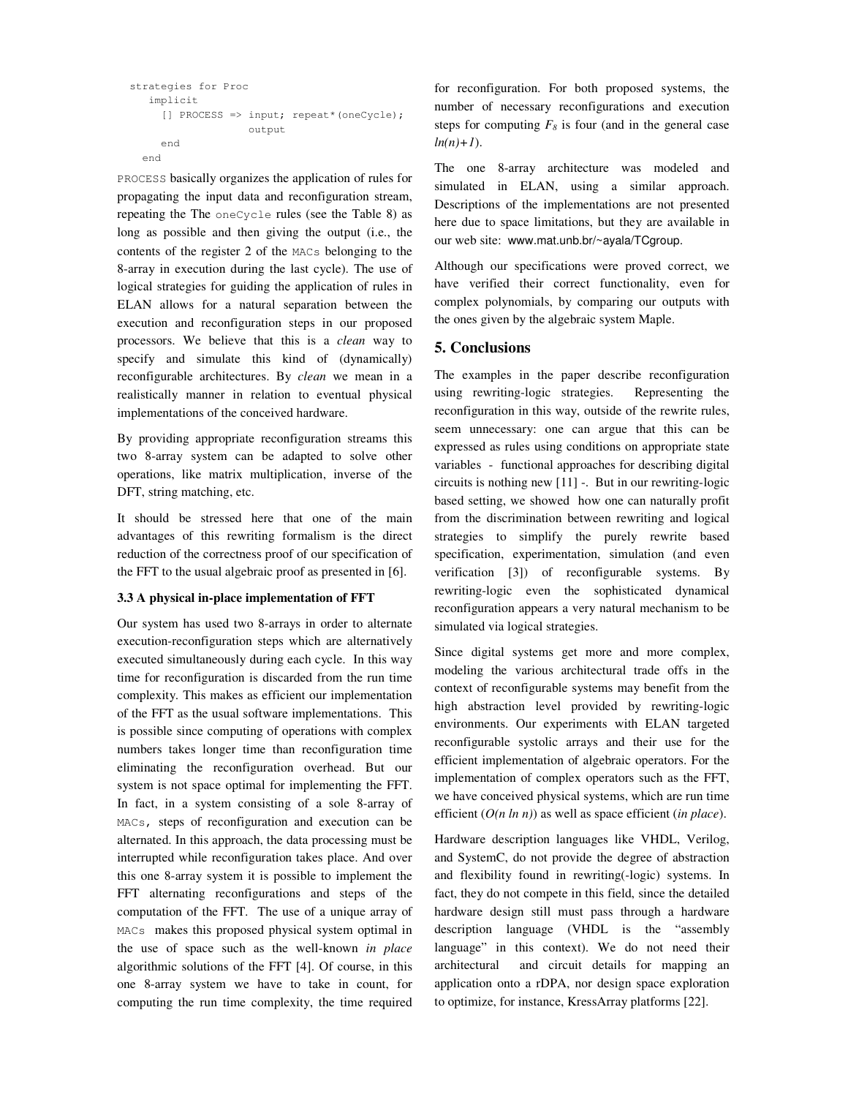```
strategies for Proc
  implicit
    [] PROCESS => input; repeat*(oneCycle);
                   output
     end
 end
```
PROCESS basically organizes the application of rules for propagating the input data and reconfiguration stream, repeating the The oneCycle rules (see the Table 8) as long as possible and then giving the output (i.e., the contents of the register 2 of the MACs belonging to the 8-array in execution during the last cycle). The use of logical strategies for guiding the application of rules in ELAN allows for a natural separation between the execution and reconfiguration steps in our proposed processors. We believe that this is a *clean* way to specify and simulate this kind of (dynamically) reconfigurable architectures. By *clean* we mean in a realistically manner in relation to eventual physical implementations of the conceived hardware.

By providing appropriate reconfiguration streams this two 8-array system can be adapted to solve other operations, like matrix multiplication, inverse of the DFT, string matching, etc.

It should be stressed here that one of the main advantages of this rewriting formalism is the direct reduction of the correctness proof of our specification of the FFT to the usual algebraic proof as presented in [6].

### **3.3 A physical in-place implementation of FFT**

Our system has used two 8-arrays in order to alternate execution-reconfiguration steps which are alternatively executed simultaneously during each cycle. In this way time for reconfiguration is discarded from the run time complexity. This makes as efficient our implementation of the FFT as the usual software implementations. This is possible since computing of operations with complex numbers takes longer time than reconfiguration time eliminating the reconfiguration overhead. But our system is not space optimal for implementing the FFT. In fact, in a system consisting of a sole 8-array of MACs, steps of reconfiguration and execution can be alternated. In this approach, the data processing must be interrupted while reconfiguration takes place. And over this one 8-array system it is possible to implement the FFT alternating reconfigurations and steps of the computation of the FFT. The use of a unique array of MACs makes this proposed physical system optimal in the use of space such as the well-known *in place* algorithmic solutions of the FFT [4]. Of course, in this one 8-array system we have to take in count, for computing the run time complexity, the time required

for reconfiguration. For both proposed systems, the number of necessary reconfigurations and execution steps for computing  $F_8$  is four (and in the general case *ln(n)+1*).

The one 8-array architecture was modeled and simulated in ELAN, using a similar approach. Descriptions of the implementations are not presented here due to space limitations, but they are available in our web site: www.mat.unb.br/~ayala/TCgroup.

Although our specifications were proved correct, we have verified their correct functionality, even for complex polynomials, by comparing our outputs with the ones given by the algebraic system Maple.

### **5. Conclusions**

The examples in the paper describe reconfiguration using rewriting-logic strategies. Representing the reconfiguration in this way, outside of the rewrite rules, seem unnecessary: one can argue that this can be expressed as rules using conditions on appropriate state variables - functional approaches for describing digital circuits is nothing new [11] -. But in our rewriting-logic based setting, we showed how one can naturally profit from the discrimination between rewriting and logical strategies to simplify the purely rewrite based specification, experimentation, simulation (and even verification [3]) of reconfigurable systems. By rewriting-logic even the sophisticated dynamical reconfiguration appears a very natural mechanism to be simulated via logical strategies.

Since digital systems get more and more complex, modeling the various architectural trade offs in the context of reconfigurable systems may benefit from the high abstraction level provided by rewriting-logic environments. Our experiments with ELAN targeted reconfigurable systolic arrays and their use for the efficient implementation of algebraic operators. For the implementation of complex operators such as the FFT, we have conceived physical systems, which are run time efficient (*O(n ln n)*) as well as space efficient (*in place*).

Hardware description languages like VHDL, Verilog, and SystemC, do not provide the degree of abstraction and flexibility found in rewriting(-logic) systems. In fact, they do not compete in this field, since the detailed hardware design still must pass through a hardware description language (VHDL is the "assembly language" in this context). We do not need their architectural and circuit details for mapping an application onto a rDPA, nor design space exploration to optimize, for instance, KressArray platforms [22].